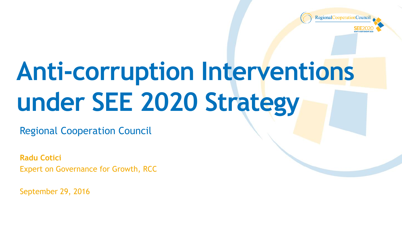

## **Anti-corruption Interventions under SEE 2020 Strategy**

Regional Cooperation Council

**Radu Cotici** Expert on Governance for Growth, RCC

September 29, 2016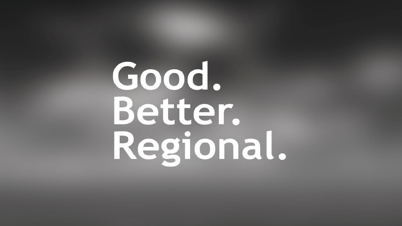# Good. Better. Regional.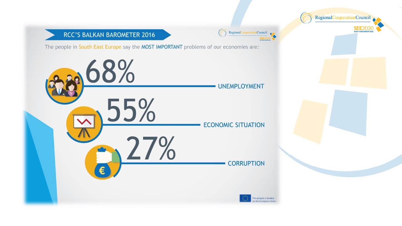#### RCC'S BALKAN BAROMETER 2016

The people in South East Europe say the MOST IMPORTANT problems of our economies are:

Regional

Council .

RegionalCooperationCouncil

SEE2020

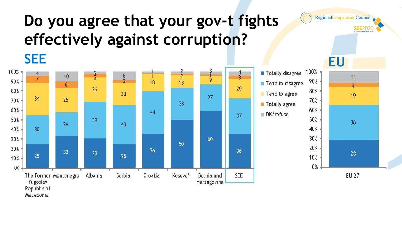## **Do you agree that your gov-t fights effectively against corruption?**





10%

 $0%$ 



RegionalCooperationCouncil

**SEE2020** SOUTH EAST EUROPE 2020

**EU 27**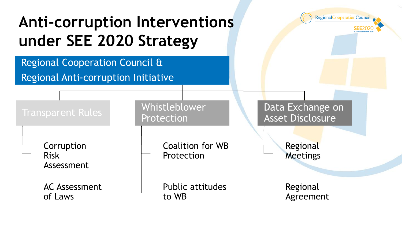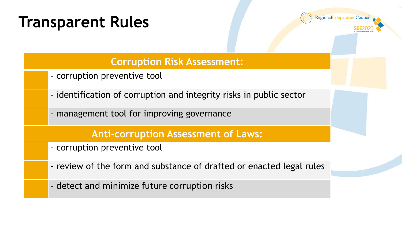## **Transparent Rules**



#### **Corruption Risk Assessment:**

- corruption preventive tool
- identification of corruption and integrity risks in public sector
- management tool for improving governance

#### **Anti-corruption Assessment of Laws:**

- corruption preventive tool
- review of the form and substance of drafted or enacted legal rules
- detect and minimize future corruption risks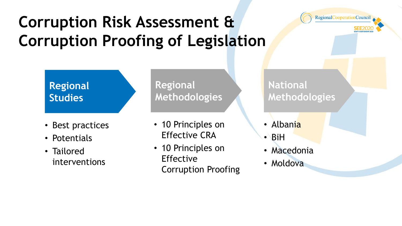## **Corruption Risk Assessment & Corruption Proofing of Legislation**



#### **Regional Studies**

- Best practices
- Potentials
- Tailored interventions

**Regional Methodologies**

- 10 Principles on Effective CRA
- 10 Principles on Effective Corruption Proofing

**National Methodologies**

- Albania
- BiH
- Macedonia
- Moldova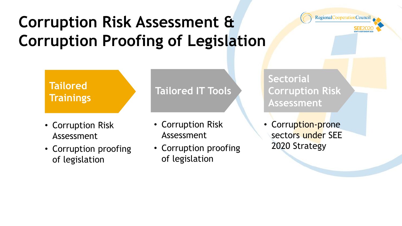## **Corruption Risk Assessment & Corruption Proofing of Legislation**



#### **Tailored Trainings**

- Corruption Risk Assessment
- Corruption proofing of legislation

#### **Tailored IT Tools**

- Corruption Risk Assessment
- Corruption proofing of legislation

**Sectorial Corruption Risk Assessment**

• Corruption-prone sectors under SEE 2020 Strategy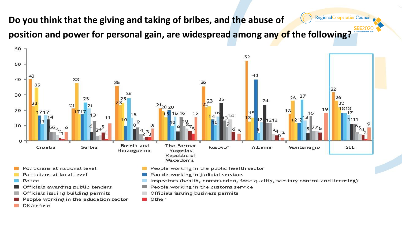RegionalCooperationCouncil **Do you think that the giving and taking of bribes, and the abuse of position and power for personal gain, are widespread among any of the following?** 



Other

- People working in the education sector
- DK/refuse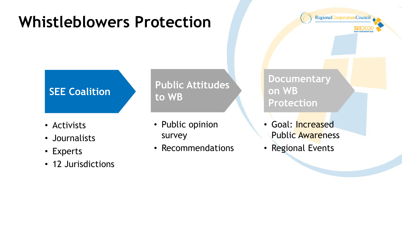## **Whistleblowers Protection**

RegionalCooperationCouncil

#### **SEE Coalition**

- Activists
- Journalists
- Experts
- 12 Jurisdictions

#### **Public Attitudes to WB**

- Public opinion survey
- Recommendations

**Documentary on WB Protection**

- Goal: Increased Public Awareness
- Regional Events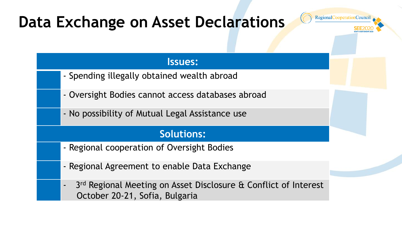## **Data Exchange on Asset Declarations**



#### **Issues:**

- Spending illegally obtained wealth abroad
- Oversight Bodies cannot access databases abroad
- No possibility of Mutual Legal Assistance use

#### **Solutions:**

- Regional cooperation of Oversight Bodies
- Regional Agreement to enable Data Exchange
- 3<sup>rd</sup> Regional Meeting on Asset Disclosure & Conflict of Interest October 20-21, Sofia, Bulgaria